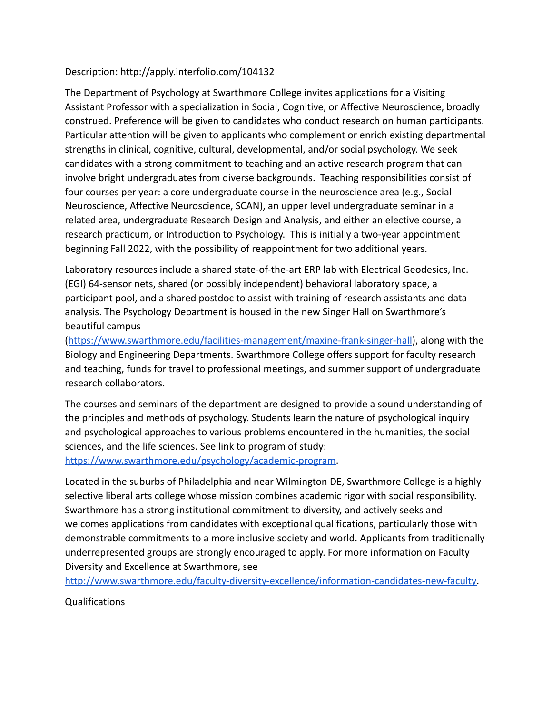## Description: http://apply.interfolio.com/104132

The Department of Psychology at Swarthmore College invites applications for a Visiting Assistant Professor with a specialization in Social, Cognitive, or Affective Neuroscience, broadly construed. Preference will be given to candidates who conduct research on human participants. Particular attention will be given to applicants who complement or enrich existing departmental strengths in clinical, cognitive, cultural, developmental, and/or social psychology. We seek candidates with a strong commitment to teaching and an active research program that can involve bright undergraduates from diverse backgrounds. Teaching responsibilities consist of four courses per year: a core undergraduate course in the neuroscience area (e.g., Social Neuroscience, Affective Neuroscience, SCAN), an upper level undergraduate seminar in a related area, undergraduate Research Design and Analysis, and either an elective course, a research practicum, or Introduction to Psychology. This is initially a two-year appointment beginning Fall 2022, with the possibility of reappointment for two additional years.

Laboratory resources include a shared state-of-the-art ERP lab with Electrical Geodesics, Inc. (EGI) 64-sensor nets, shared (or possibly independent) behavioral laboratory space, a participant pool, and a shared postdoc to assist with training of research assistants and data analysis. The Psychology Department is housed in the new Singer Hall on Swarthmore's beautiful campus

(<https://www.swarthmore.edu/facilities-management/maxine-frank-singer-hall>), along with the Biology and Engineering Departments. Swarthmore College offers support for faculty research and teaching, funds for travel to professional meetings, and summer support of undergraduate research collaborators.

The courses and seminars of the department are designed to provide a sound understanding of the principles and methods of psychology. Students learn the nature of psychological inquiry and psychological approaches to various problems encountered in the humanities, the social sciences, and the life sciences. See link to program of study: [https://www.swarthmore.edu/psychology/academic-program.](https://www.swarthmore.edu/psychology/academic-program)

Located in the suburbs of Philadelphia and near Wilmington DE, Swarthmore College is a highly selective liberal arts college whose mission combines academic rigor with social responsibility. Swarthmore has a strong institutional commitment to diversity, and actively seeks and welcomes applications from candidates with exceptional qualifications, particularly those with demonstrable commitments to a more inclusive society and world. Applicants from traditionally underrepresented groups are strongly encouraged to apply. For more information on Faculty Diversity and Excellence at Swarthmore, see

[http://www.swarthmore.edu/faculty-diversity-excellence/information-candidates-new-faculty.](http://www.swarthmore.edu/faculty-diversity-excellence/information-candidates-new-faculty)

Qualifications